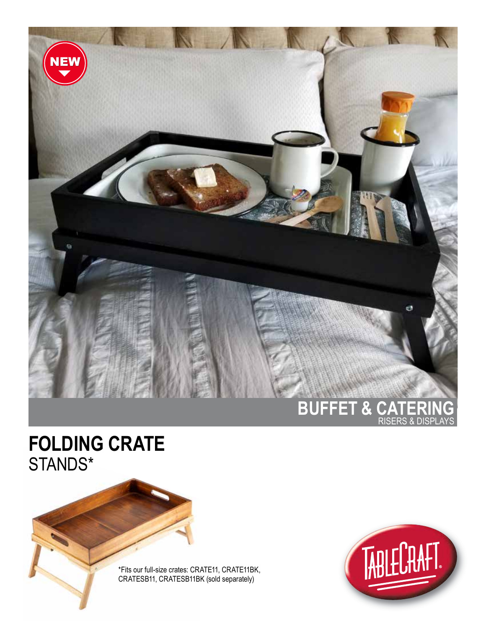

## **FOLDING CRATE** STANDS\*

\*Fits our full-size crates: CRATE11, CRATE11BK, CRATESB11, CRATESB11BK (sold separately)